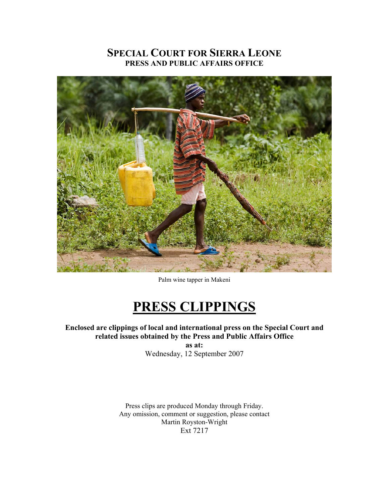## **SPECIAL COURT FOR SIERRA LEONE PRESS AND PUBLIC AFFAIRS OFFICE**



Palm wine tapper in Makeni

# **PRESS CLIPPINGS**

**Enclosed are clippings of local and international press on the Special Court and related issues obtained by the Press and Public Affairs Office** 

> **as at:**  Wednesday, 12 September 2007

Press clips are produced Monday through Friday. Any omission, comment or suggestion, please contact Martin Royston-Wright Ext 7217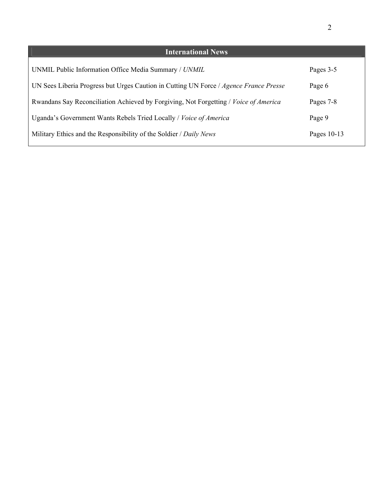| <b>International News</b>                                                             |               |
|---------------------------------------------------------------------------------------|---------------|
| UNMIL Public Information Office Media Summary / UNMIL                                 | Pages 3-5     |
| UN Sees Liberia Progress but Urges Caution in Cutting UN Force / Agence France Presse | Page 6        |
| Rwandans Say Reconciliation Achieved by Forgiving, Not Forgetting / Voice of America  | Pages 7-8     |
| Uganda's Government Wants Rebels Tried Locally / Voice of America                     | Page 9        |
| Military Ethics and the Responsibility of the Soldier / Daily News                    | Pages $10-13$ |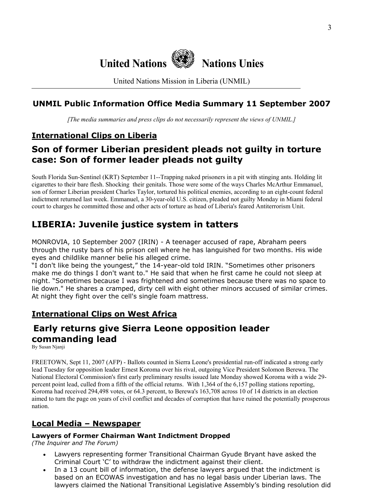

United Nations Mission in Liberia (UNMIL)

## **UNMIL Public Information Office Media Summary 11 September 2007**

*[The media summaries and press clips do not necessarily represent the views of UNMIL.]*

## **International Clips on Liberia**

## **Son of former Liberian president pleads not guilty in torture case: Son of former leader pleads not guilty**

South Florida Sun-Sentinel (KRT) September 11--Trapping naked prisoners in a pit with stinging ants. Holding lit cigarettes to their bare flesh. Shocking their genitals. Those were some of the ways Charles McArthur Emmanuel, son of former Liberian president Charles Taylor, tortured his political enemies, according to an eight-count federal indictment returned last week. Emmanuel, a 30-year-old U.S. citizen, pleaded not guilty Monday in Miami federal court to charges he committed those and other acts of torture as head of Liberia's feared Antiterrorism Unit.

## **LIBERIA: Juvenile justice system in tatters**

MONROVIA, 10 September 2007 (IRIN) - A teenager accused of rape, Abraham peers through the rusty bars of his prison cell where he has languished for two months. His wide eyes and childlike manner belie his alleged crime.

"I don't like being the youngest," the 14-year-old told IRIN. "Sometimes other prisoners make me do things I don't want to." He said that when he first came he could not sleep at night. "Sometimes because I was frightened and sometimes because there was no space to lie down." He shares a cramped, dirty cell with eight other minors accused of similar crimes. At night they fight over the cell's single foam mattress.

## **International Clips on West Africa**

## **Early returns give Sierra Leone opposition leader commanding lead**

By Susan Njanji

FREETOWN, Sept 11, 2007 (AFP) - Ballots counted in Sierra Leone's presidential run-off indicated a strong early lead Tuesday for opposition leader Ernest Koroma over his rival, outgoing Vice President Solomon Berewa. The National Electoral Commission's first early preliminary results issued late Monday showed Koroma with a wide 29 percent point lead, culled from a fifth of the official returns. With 1,364 of the 6,157 polling stations reporting, Koroma had received 294,498 votes, or 64.3 percent, to Berewa's 163,708 across 10 of 14 districts in an election aimed to turn the page on years of civil conflict and decades of corruption that have ruined the potentially prosperous nation.

## **Local Media – Newspaper**

### **Lawyers of Former Chairman Want Indictment Dropped**

*(The Inquirer and The Forum)* 

- Lawyers representing former Transitional Chairman Gyude Bryant have asked the Criminal Court 'C' to withdraw the indictment against their client.
- In a 13 count bill of information, the defense lawyers argued that the indictment is based on an ECOWAS investigation and has no legal basis under Liberian laws. The lawyers claimed the National Transitional Legislative Assembly's binding resolution did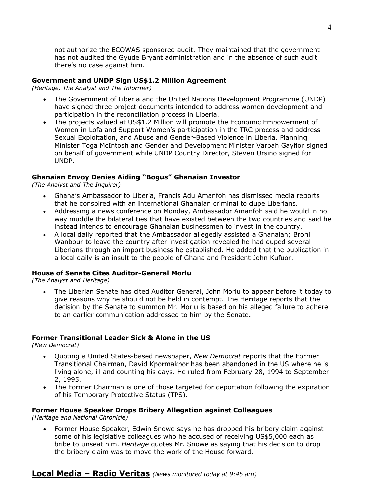not authorize the ECOWAS sponsored audit. They maintained that the government has not audited the Gyude Bryant administration and in the absence of such audit there's no case against him.

### **Government and UNDP Sign US\$1.2 Million Agreement**

*(Heritage, The Analyst and The Informer)*

- The Government of Liberia and the United Nations Development Programme (UNDP) have signed three project documents intended to address women development and participation in the reconciliation process in Liberia.
- The projects valued at US\$1.2 Million will promote the Economic Empowerment of Women in Lofa and Support Women's participation in the TRC process and address Sexual Exploitation, and Abuse and Gender-Based Violence in Liberia. Planning Minister Toga McIntosh and Gender and Development Minister Varbah Gayflor signed on behalf of government while UNDP Country Director, Steven Ursino signed for UNDP.

### **Ghanaian Envoy Denies Aiding "Bogus" Ghanaian Investor**

*(The Analyst and The Inquirer)* 

- Ghana's Ambassador to Liberia, Francis Adu Amanfoh has dismissed media reports that he conspired with an international Ghanaian criminal to dupe Liberians.
- Addressing a news conference on Monday, Ambassador Amanfoh said he would in no way muddle the bilateral ties that have existed between the two countries and said he instead intends to encourage Ghanaian businessmen to invest in the country.
- A local daily reported that the Ambassador allegedly assisted a Ghanaian; Broni Wanbour to leave the country after investigation revealed he had duped several Liberians through an import business he established. He added that the publication in a local daily is an insult to the people of Ghana and President John Kufuor.

### **House of Senate Cites Auditor-General Morlu**

*(The Analyst and Heritage)* 

• The Liberian Senate has cited Auditor General, John Morlu to appear before it today to give reasons why he should not be held in contempt. The Heritage reports that the decision by the Senate to summon Mr. Morlu is based on his alleged failure to adhere to an earlier communication addressed to him by the Senate.

### **Former Transitional Leader Sick & Alone in the US**

*(New Democrat)* 

- Quoting a United States-based newspaper, *New Democrat* reports that the Former Transitional Chairman, David Kpormakpor has been abandoned in the US where he is living alone, ill and counting his days. He ruled from February 28, 1994 to September 2, 1995.
- The Former Chairman is one of those targeted for deportation following the expiration of his Temporary Protective Status (TPS).

### **Former House Speaker Drops Bribery Allegation against Colleagues**

*(Heritage and National Chronicle)* 

• Former House Speaker, Edwin Snowe says he has dropped his bribery claim against some of his legislative colleagues who he accused of receiving US\$5,000 each as bribe to unseat him. *Heritage* quotes Mr. Snowe as saying that his decision to drop the bribery claim was to move the work of the House forward.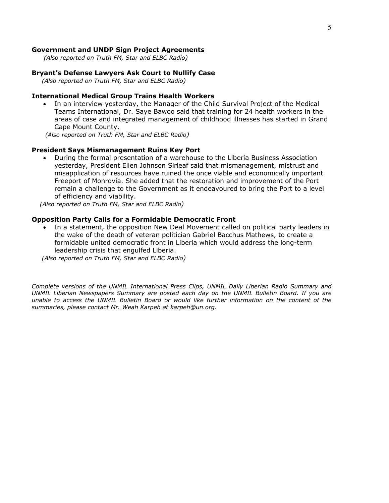#### **Government and UNDP Sign Project Agreements**

 *(Also reported on Truth FM, Star and ELBC Radio)*

#### **Bryant's Defense Lawyers Ask Court to Nullify Case**

 *(Also reported on Truth FM, Star and ELBC Radio)*

#### **International Medical Group Trains Health Workers**

• In an interview yesterday, the Manager of the Child Survival Project of the Medical Teams International, Dr. Saye Bawoo said that training for 24 health workers in the areas of case and integrated management of childhood illnesses has started in Grand Cape Mount County.

 *(Also reported on Truth FM, Star and ELBC Radio)*

#### **President Says Mismanagement Ruins Key Port**

• During the formal presentation of a warehouse to the Liberia Business Association yesterday, President Ellen Johnson Sirleaf said that mismanagement, mistrust and misapplication of resources have ruined the once viable and economically important Freeport of Monrovia. She added that the restoration and improvement of the Port remain a challenge to the Government as it endeavoured to bring the Port to a level of efficiency and viability.

 *(Also reported on Truth FM, Star and ELBC Radio)*

#### **Opposition Party Calls for a Formidable Democratic Front**

In a statement, the opposition New Deal Movement called on political party leaders in the wake of the death of veteran politician Gabriel Bacchus Mathews, to create a formidable united democratic front in Liberia which would address the long-term leadership crisis that engulfed Liberia.

 *(Also reported on Truth FM, Star and ELBC Radio)*

*Complete versions of the UNMIL International Press Clips, UNMIL Daily Liberian Radio Summary and UNMIL Liberian Newspapers Summary are posted each day on the UNMIL Bulletin Board. If you are unable to access the UNMIL Bulletin Board or would like further information on the content of the summaries, please contact Mr. Weah Karpeh at karpeh@un.org.*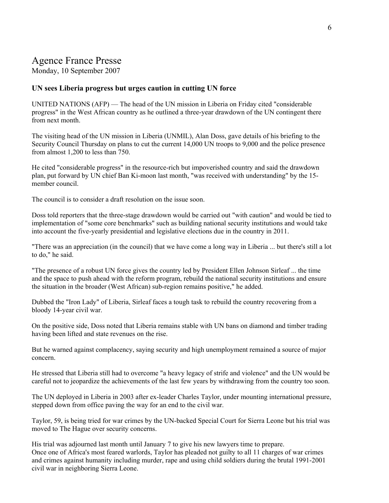# Agence France Presse

Monday, 10 September 2007

### **UN sees Liberia progress but urges caution in cutting UN force**

UNITED NATIONS (AFP) — The head of the UN mission in Liberia on Friday cited "considerable progress" in the West African country as he outlined a three-year drawdown of the UN contingent there from next month.

The visiting head of the UN mission in Liberia (UNMIL), Alan Doss, gave details of his briefing to the Security Council Thursday on plans to cut the current 14,000 UN troops to 9,000 and the police presence from almost 1,200 to less than 750.

He cited "considerable progress" in the resource-rich but impoverished country and said the drawdown plan, put forward by UN chief Ban Ki-moon last month, "was received with understanding" by the 15 member council.

The council is to consider a draft resolution on the issue soon.

Doss told reporters that the three-stage drawdown would be carried out "with caution" and would be tied to implementation of "some core benchmarks" such as building national security institutions and would take into account the five-yearly presidential and legislative elections due in the country in 2011.

"There was an appreciation (in the council) that we have come a long way in Liberia ... but there's still a lot to do," he said.

"The presence of a robust UN force gives the country led by President Ellen Johnson Sirleaf ... the time and the space to push ahead with the reform program, rebuild the national security institutions and ensure the situation in the broader (West African) sub-region remains positive," he added.

Dubbed the "Iron Lady" of Liberia, Sirleaf faces a tough task to rebuild the country recovering from a bloody 14-year civil war.

On the positive side, Doss noted that Liberia remains stable with UN bans on diamond and timber trading having been lifted and state revenues on the rise.

But he warned against complacency, saying security and high unemployment remained a source of major concern.

He stressed that Liberia still had to overcome "a heavy legacy of strife and violence" and the UN would be careful not to jeopardize the achievements of the last few years by withdrawing from the country too soon.

The UN deployed in Liberia in 2003 after ex-leader Charles Taylor, under mounting international pressure, stepped down from office paving the way for an end to the civil war.

Taylor, 59, is being tried for war crimes by the UN-backed Special Court for Sierra Leone but his trial was moved to The Hague over security concerns.

His trial was adjourned last month until January 7 to give his new lawyers time to prepare. Once one of Africa's most feared warlords, Taylor has pleaded not guilty to all 11 charges of war crimes and crimes against humanity including murder, rape and using child soldiers during the brutal 1991-2001 civil war in neighboring Sierra Leone.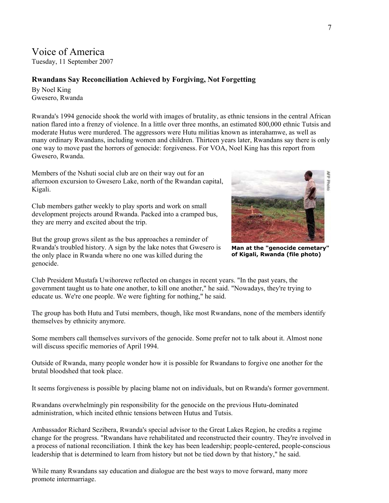## Voice of America

Tuesday, 11 September 2007

## **Rwandans Say Reconciliation Achieved by Forgiving, Not Forgetting**

By Noel King Gwesero, Rwanda

Rwanda's 1994 genocide shook the world with images of brutality, as ethnic tensions in the central African nation flared into a frenzy of violence. In a little over three months, an estimated 800,000 ethnic Tutsis and moderate Hutus were murdered. The aggressors were Hutu militias known as interahamwe, as well as many ordinary Rwandans, including women and children. Thirteen years later, Rwandans say there is only one way to move past the horrors of genocide: forgiveness. For VOA, Noel King has this report from Gwesero, Rwanda.

Members of the Nshuti social club are on their way out for an afternoon excursion to Gwesero Lake, north of the Rwandan capital, Kigali.

Club members gather weekly to play sports and work on small development projects around Rwanda. Packed into a cramped bus, they are merry and excited about the trip.

But the group grows silent as the bus approaches a reminder of Rwanda's troubled history. A sign by the lake notes that Gwesero is the only place in Rwanda where no one was killed during the genocide.



**Man at the "genocide cemetary" of Kigali, Rwanda (file photo)** 

Club President Mustafa Uwihorewe reflected on changes in recent years. "In the past years, the government taught us to hate one another, to kill one another," he said. "Nowadays, they're trying to educate us. We're one people. We were fighting for nothing," he said.

The group has both Hutu and Tutsi members, though, like most Rwandans, none of the members identify themselves by ethnicity anymore.

Some members call themselves survivors of the genocide. Some prefer not to talk about it. Almost none will discuss specific memories of April 1994.

Outside of Rwanda, many people wonder how it is possible for Rwandans to forgive one another for the brutal bloodshed that took place.

It seems forgiveness is possible by placing blame not on individuals, but on Rwanda's former government.

Rwandans overwhelmingly pin responsibility for the genocide on the previous Hutu-dominated administration, which incited ethnic tensions between Hutus and Tutsis.

Ambassador Richard Sezibera, Rwanda's special advisor to the Great Lakes Region, he credits a regime change for the progress. "Rwandans have rehabilitated and reconstructed their country. They're involved in a process of national reconciliation. I think the key has been leadership; people-centered, people-conscious leadership that is determined to learn from history but not be tied down by that history," he said.

While many Rwandans say education and dialogue are the best ways to move forward, many more promote intermarriage.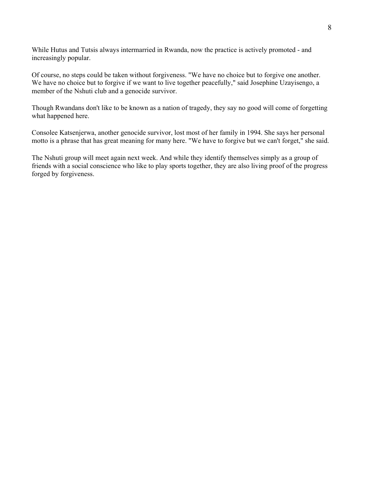While Hutus and Tutsis always intermarried in Rwanda, now the practice is actively promoted - and increasingly popular.

Of course, no steps could be taken without forgiveness. "We have no choice but to forgive one another. We have no choice but to forgive if we want to live together peacefully," said Josephine Uzayisengo, a member of the Nshuti club and a genocide survivor.

Though Rwandans don't like to be known as a nation of tragedy, they say no good will come of forgetting what happened here.

Consolee Katsenjerwa, another genocide survivor, lost most of her family in 1994. She says her personal motto is a phrase that has great meaning for many here. "We have to forgive but we can't forget," she said.

The Nshuti group will meet again next week. And while they identify themselves simply as a group of friends with a social conscience who like to play sports together, they are also living proof of the progress forged by forgiveness.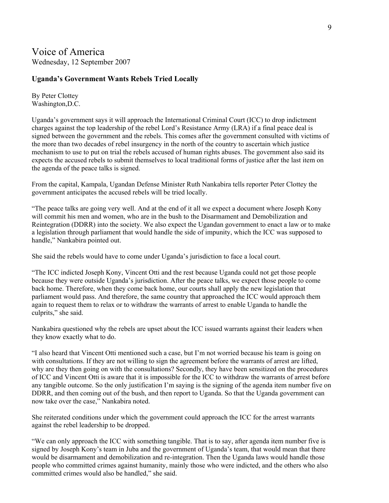### **Uganda's Government Wants Rebels Tried Locally**

By Peter Clottey Washington,D.C.

Uganda's government says it will approach the International Criminal Court (ICC) to drop indictment charges against the top leadership of the rebel Lord's Resistance Army (LRA) if a final peace deal is signed between the government and the rebels. This comes after the government consulted with victims of the more than two decades of rebel insurgency in the north of the country to ascertain which justice mechanism to use to put on trial the rebels accused of human rights abuses. The government also said its expects the accused rebels to submit themselves to local traditional forms of justice after the last item on the agenda of the peace talks is signed.

From the capital, Kampala, Ugandan Defense Minister Ruth Nankabira tells reporter Peter Clottey the government anticipates the accused rebels will be tried locally.

"The peace talks are going very well. And at the end of it all we expect a document where Joseph Kony will commit his men and women, who are in the bush to the Disarmament and Demobilization and Reintegration (DDRR) into the society. We also expect the Ugandan government to enact a law or to make a legislation through parliament that would handle the side of impunity, which the ICC was supposed to handle," Nankabira pointed out.

She said the rebels would have to come under Uganda's jurisdiction to face a local court.

"The ICC indicted Joseph Kony, Vincent Otti and the rest because Uganda could not get those people because they were outside Uganda's jurisdiction. After the peace talks, we expect those people to come back home. Therefore, when they come back home, our courts shall apply the new legislation that parliament would pass. And therefore, the same country that approached the ICC would approach them again to request them to relax or to withdraw the warrants of arrest to enable Uganda to handle the culprits," she said.

Nankabira questioned why the rebels are upset about the ICC issued warrants against their leaders when they know exactly what to do.

"I also heard that Vincent Otti mentioned such a case, but I'm not worried because his team is going on with consultations. If they are not willing to sign the agreement before the warrants of arrest are lifted, why are they then going on with the consultations? Secondly, they have been sensitized on the procedures of ICC and Vincent Otti is aware that it is impossible for the ICC to withdraw the warrants of arrest before any tangible outcome. So the only justification I'm saying is the signing of the agenda item number five on DDRR, and then coming out of the bush, and then report to Uganda. So that the Uganda government can now take over the case," Nankabira noted.

She reiterated conditions under which the government could approach the ICC for the arrest warrants against the rebel leadership to be dropped.

"We can only approach the ICC with something tangible. That is to say, after agenda item number five is signed by Joseph Kony's team in Juba and the government of Uganda's team, that would mean that there would be disarmament and demobilization and re-integration. Then the Uganda laws would handle those people who committed crimes against humanity, mainly those who were indicted, and the others who also committed crimes would also be handled," she said.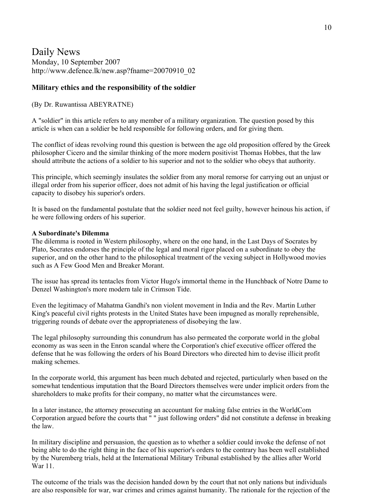## Daily News Monday, 10 September 2007 http://www.defence.lk/new.asp?fname=20070910\_02

### **Military ethics and the responsibility of the soldier**

### (By Dr. Ruwantissa ABEYRATNE)

A "soldier" in this article refers to any member of a military organization. The question posed by this article is when can a soldier be held responsible for following orders, and for giving them.

The conflict of ideas revolving round this question is between the age old proposition offered by the Greek philosopher Cicero and the similar thinking of the more modern positivist Thomas Hobbes, that the law should attribute the actions of a soldier to his superior and not to the soldier who obeys that authority.

This principle, which seemingly insulates the soldier from any moral remorse for carrying out an unjust or illegal order from his superior officer, does not admit of his having the legal justification or official capacity to disobey his superior's orders.

It is based on the fundamental postulate that the soldier need not feel guilty, however heinous his action, if he were following orders of his superior.

#### **A Subordinate's Dilemma**

The dilemma is rooted in Western philosophy, where on the one hand, in the Last Days of Socrates by Plato, Socrates endorses the principle of the legal and moral rigor placed on a subordinate to obey the superior, and on the other hand to the philosophical treatment of the vexing subject in Hollywood movies such as A Few Good Men and Breaker Morant.

The issue has spread its tentacles from Victor Hugo's immortal theme in the Hunchback of Notre Dame to Denzel Washington's more modern tale in Crimson Tide.

Even the legitimacy of Mahatma Gandhi's non violent movement in India and the Rev. Martin Luther King's peaceful civil rights protests in the United States have been impugned as morally reprehensible, triggering rounds of debate over the appropriateness of disobeying the law.

The legal philosophy surrounding this conundrum has also permeated the corporate world in the global economy as was seen in the Enron scandal where the Corporation's chief executive officer offered the defense that he was following the orders of his Board Directors who directed him to devise illicit profit making schemes.

In the corporate world, this argument has been much debated and rejected, particularly when based on the somewhat tendentious imputation that the Board Directors themselves were under implicit orders from the shareholders to make profits for their company, no matter what the circumstances were.

In a later instance, the attorney prosecuting an accountant for making false entries in the WorldCom Corporation argued before the courts that " " just following orders" did not constitute a defense in breaking the law.

In military discipline and persuasion, the question as to whether a soldier could invoke the defense of not being able to do the right thing in the face of his superior's orders to the contrary has been well established by the Nuremberg trials, held at the International Military Tribunal established by the allies after World War 11.

The outcome of the trials was the decision handed down by the court that not only nations but individuals are also responsible for war, war crimes and crimes against humanity. The rationale for the rejection of the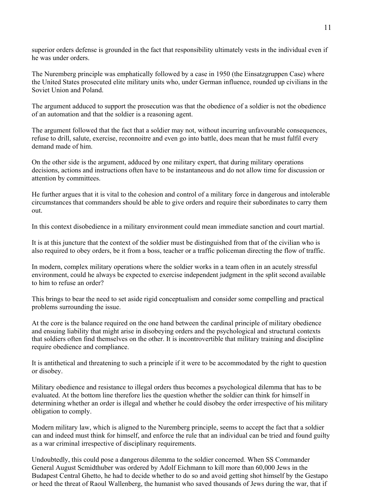superior orders defense is grounded in the fact that responsibility ultimately vests in the individual even if he was under orders.

The Nuremberg principle was emphatically followed by a case in 1950 (the Einsatzgruppen Case) where the United States prosecuted elite military units who, under German influence, rounded up civilians in the Soviet Union and Poland.

The argument adduced to support the prosecution was that the obedience of a soldier is not the obedience of an automation and that the soldier is a reasoning agent.

The argument followed that the fact that a soldier may not, without incurring unfavourable consequences, refuse to drill, salute, exercise, reconnoitre and even go into battle, does mean that he must fulfil every demand made of him.

On the other side is the argument, adduced by one military expert, that during military operations decisions, actions and instructions often have to be instantaneous and do not allow time for discussion or attention by committees.

He further argues that it is vital to the cohesion and control of a military force in dangerous and intolerable circumstances that commanders should be able to give orders and require their subordinates to carry them out.

In this context disobedience in a military environment could mean immediate sanction and court martial.

It is at this juncture that the context of the soldier must be distinguished from that of the civilian who is also required to obey orders, be it from a boss, teacher or a traffic policeman directing the flow of traffic.

In modern, complex military operations where the soldier works in a team often in an acutely stressful environment, could he always be expected to exercise independent judgment in the split second available to him to refuse an order?

This brings to bear the need to set aside rigid conceptualism and consider some compelling and practical problems surrounding the issue.

At the core is the balance required on the one hand between the cardinal principle of military obedience and ensuing liability that might arise in disobeying orders and the psychological and structural contexts that soldiers often find themselves on the other. It is incontrovertible that military training and discipline require obedience and compliance.

It is antithetical and threatening to such a principle if it were to be accommodated by the right to question or disobey.

Military obedience and resistance to illegal orders thus becomes a psychological dilemma that has to be evaluated. At the bottom line therefore lies the question whether the soldier can think for himself in determining whether an order is illegal and whether he could disobey the order irrespective of his military obligation to comply.

Modern military law, which is aligned to the Nuremberg principle, seems to accept the fact that a soldier can and indeed must think for himself, and enforce the rule that an individual can be tried and found guilty as a war criminal irrespective of disciplinary requirements.

Undoubtedly, this could pose a dangerous dilemma to the soldier concerned. When SS Commander General August Scmidthuber was ordered by Adolf Eichmann to kill more than 60,000 Jews in the Budapest Central Ghetto, he had to decide whether to do so and avoid getting shot himself by the Gestapo or heed the threat of Raoul Wallenberg, the humanist who saved thousands of Jews during the war, that if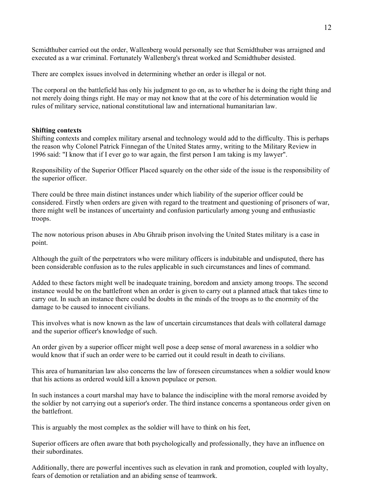Scmidthuber carried out the order, Wallenberg would personally see that Scmidthuber was arraigned and executed as a war criminal. Fortunately Wallenberg's threat worked and Scmidthuber desisted.

There are complex issues involved in determining whether an order is illegal or not.

The corporal on the battlefield has only his judgment to go on, as to whether he is doing the right thing and not merely doing things right. He may or may not know that at the core of his determination would lie rules of military service, national constitutional law and international humanitarian law.

#### **Shifting contexts**

Shifting contexts and complex military arsenal and technology would add to the difficulty. This is perhaps the reason why Colonel Patrick Finnegan of the United States army, writing to the Military Review in 1996 said: "I know that if I ever go to war again, the first person I am taking is my lawyer".

Responsibility of the Superior Officer Placed squarely on the other side of the issue is the responsibility of the superior officer.

There could be three main distinct instances under which liability of the superior officer could be considered. Firstly when orders are given with regard to the treatment and questioning of prisoners of war, there might well be instances of uncertainty and confusion particularly among young and enthusiastic troops.

The now notorious prison abuses in Abu Ghraib prison involving the United States military is a case in point.

Although the guilt of the perpetrators who were military officers is indubitable and undisputed, there has been considerable confusion as to the rules applicable in such circumstances and lines of command.

Added to these factors might well be inadequate training, boredom and anxiety among troops. The second instance would be on the battlefront when an order is given to carry out a planned attack that takes time to carry out. In such an instance there could be doubts in the minds of the troops as to the enormity of the damage to be caused to innocent civilians.

This involves what is now known as the law of uncertain circumstances that deals with collateral damage and the superior officer's knowledge of such.

An order given by a superior officer might well pose a deep sense of moral awareness in a soldier who would know that if such an order were to be carried out it could result in death to civilians.

This area of humanitarian law also concerns the law of foreseen circumstances when a soldier would know that his actions as ordered would kill a known populace or person.

In such instances a court marshal may have to balance the indiscipline with the moral remorse avoided by the soldier by not carrying out a superior's order. The third instance concerns a spontaneous order given on the battlefront.

This is arguably the most complex as the soldier will have to think on his feet,

Superior officers are often aware that both psychologically and professionally, they have an influence on their subordinates.

Additionally, there are powerful incentives such as elevation in rank and promotion, coupled with loyalty, fears of demotion or retaliation and an abiding sense of teamwork.